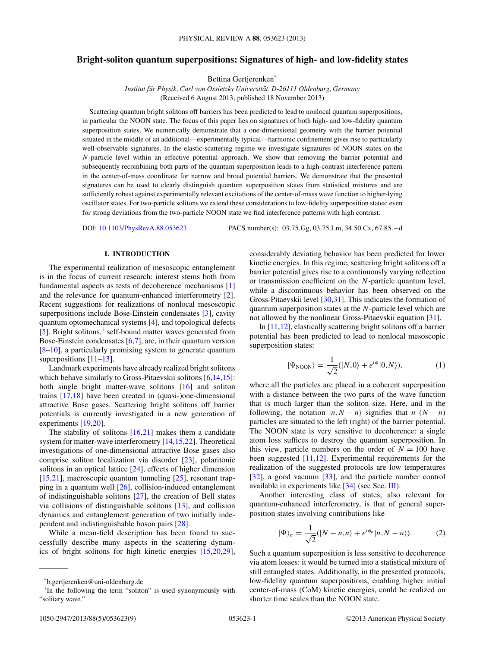# <span id="page-0-0"></span>**Bright-soliton quantum superpositions: Signatures of high- and low-fidelity states**

Bettina Gertjerenken\*

*Institut für Physik, Carl von Ossietzky Universität, D-26111 Oldenburg, Germany* (Received 6 August 2013; published 18 November 2013)

Scattering quantum bright solitons off barriers has been predicted to lead to nonlocal quantum superpositions, in particular the NOON state. The focus of this paper lies on signatures of both high- and low-fidelity quantum superposition states. We numerically demonstrate that a one-dimensional geometry with the barrier potential situated in the middle of an additional—experimentally typical—harmonic confinement gives rise to particularly well-observable signatures. In the elastic-scattering regime we investigate signatures of NOON states on the *N*-particle level within an effective potential approach. We show that removing the barrier potential and subsequently recombining both parts of the quantum superposition leads to a high-contrast interference pattern in the center-of-mass coordinate for narrow and broad potential barriers. We demonstrate that the presented signatures can be used to clearly distinguish quantum superposition states from statistical mixtures and are sufficiently robust against experimentally relevant excitations of the center-of-mass wave function to higher-lying oscillator states. For two-particle solitons we extend these considerations to low-fidelity superposition states: even for strong deviations from the two-particle NOON state we find interference patterns with high contrast.

DOI: [10.1103/PhysRevA.88.053623](http://dx.doi.org/10.1103/PhysRevA.88.053623) PACS number(s): 03*.*75*.*Gg, 03*.*75*.*Lm, 34*.*50*.*Cx, 67*.*85*.*−d

#### **I. INTRODUCTION**

The experimental realization of mesoscopic entanglement is in the focus of current research: interest stems both from fundamental aspects as tests of decoherence mechanisms [\[1\]](#page-7-0) and the relevance for quantum-enhanced interferometry [\[2\]](#page-7-0). Recent suggestions for realizations of nonlocal mesoscopic superpositions include Bose-Einstein condensates [\[3\]](#page-7-0), cavity quantum optomechanical systems [\[4\]](#page-7-0), and topological defects  $[5]$ . Bright solitons,<sup>1</sup> self-bound matter waves generated from Bose-Einstein condensates  $[6,7]$ , are, in their quantum version [\[8–10\]](#page-7-0), a particularly promising system to generate quantum superpositions  $[11–13]$ .

Landmark experiments have already realized bright solitons which behave similarly to Gross-Pitaevskii solitons [\[6,14,15\]](#page-7-0): both single bright matter-wave solitons [\[16\]](#page-7-0) and soliton trains [\[17](#page-7-0)[,18\]](#page-8-0) have been created in (quasi-)one-dimensional attractive Bose gases. Scattering bright solitons off barrier potentials is currently investigated in a new generation of experiments [\[19,20\]](#page-8-0).

The stability of solitons  $[16,21]$  $[16,21]$  makes them a candidate system for matter-wave interferometry [\[14,15,](#page-7-0)[22\]](#page-8-0). Theoretical investigations of one-dimensional attractive Bose gases also comprise soliton localization via disorder [\[23\]](#page-8-0), polaritonic solitons in an optical lattice [\[24\]](#page-8-0), effects of higher dimension [\[15](#page-7-0)[,21\]](#page-8-0), macroscopic quantum tunneling [\[25\]](#page-8-0), resonant trapping in a quantum well [\[26\]](#page-8-0), collision-induced entanglement of indistinguishable solitons [\[27\]](#page-8-0), the creation of Bell states via collisions of distinguishable solitons [\[13\]](#page-7-0), and collision dynamics and entanglement generation of two initially independent and indistinguishable boson pairs [\[28\]](#page-8-0).

While a mean-field description has been found to successfully describe many aspects in the scattering dynamics of bright solitons for high kinetic energies [\[15,](#page-7-0)[20,29\]](#page-8-0), considerably deviating behavior has been predicted for lower kinetic energies. In this regime, scattering bright solitons off a barrier potential gives rise to a continuously varying reflection or transmission coefficient on the *N*-particle quantum level, while a discontinuous behavior has been observed on the Gross-Pitaevskii level [\[30,31\]](#page-8-0). This indicates the formation of quantum superposition states at the *N*-particle level which are not allowed by the nonlinear Gross-Pitaevskii equation [\[31\]](#page-8-0).

In [\[11,12\]](#page-7-0), elastically scattering bright solitons off a barrier potential has been predicted to lead to nonlocal mesoscopic superposition states:

$$
|\Psi_{\text{NOON}}\rangle = \frac{1}{\sqrt{2}}(|N,0\rangle + e^{i\phi}|0,N\rangle),\tag{1}
$$

where all the particles are placed in a coherent superposition with a distance between the two parts of the wave function that is much larger than the soliton size. Here, and in the following, the notation  $|n, N - n\rangle$  signifies that *n* (*N* − *n*) particles are situated to the left (right) of the barrier potential. The NOON state is very sensitive to decoherence: a single atom loss suffices to destroy the quantum superposition. In this view, particle numbers on the order of  $N = 100$  have been suggested [\[11,12\]](#page-7-0). Experimental requirements for the realization of the suggested protocols are low temperatures [\[32\]](#page-8-0), a good vacuum [\[33\]](#page-8-0), and the particle number control available in experiments like [\[34\]](#page-8-0) (see Sec. [III\)](#page-2-0).

Another interesting class of states, also relevant for quantum-enhanced interferometry, is that of general superposition states involving contributions like

$$
|\Psi\rangle_n = \frac{1}{\sqrt{2}}(|N - n, n\rangle + e^{i\phi_n}|n, N - n\rangle).
$$
 (2)

Such a quantum superposition is less sensitive to decoherence via atom losses: it would be turned into a statistical mixture of still entangled states. Additionally, in the presented protocols, low-fidelity quantum superpositions, enabling higher initial center-of-mass (CoM) kinetic energies, could be realized on shorter time scales than the NOON state.

<sup>\*</sup>b.gertjerenken@uni-oldenburg.de

<sup>&</sup>lt;sup>1</sup>In the following the term "soliton" is used synonymously with "solitary wave."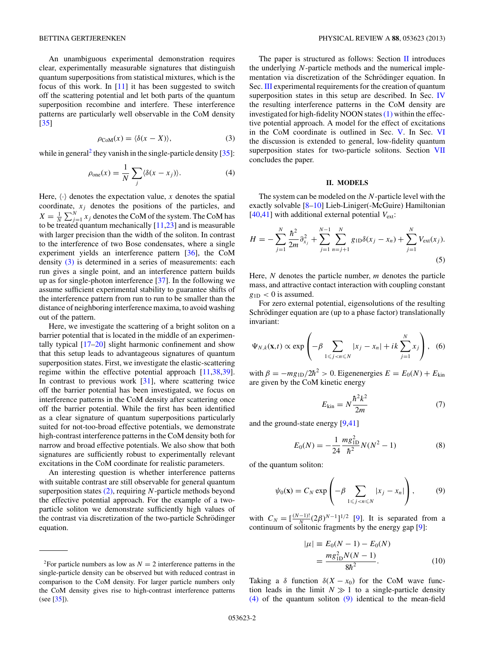<span id="page-1-0"></span>An unambiguous experimental demonstration requires clear, experimentally measurable signatures that distinguish quantum superpositions from statistical mixtures, which is the focus of this work. In  $[11]$  it has been suggested to switch off the scattering potential and let both parts of the quantum superposition recombine and interfere. These interference patterns are particularly well observable in the CoM density [\[35\]](#page-8-0)

$$
\rho_{\text{CoM}}(x) = \langle \delta(x - X) \rangle,\tag{3}
$$

while in general<sup>2</sup> they vanish in the single-particle density  $[35]$ :

$$
\rho_{\text{one}}(x) = \frac{1}{N} \sum_{j} \langle \delta(x - x_j) \rangle.
$$
 (4)

Here,  $\langle \cdot \rangle$  denotes the expectation value, *x* denotes the spatial coordinate,  $x_j$  denotes the positions of the particles, and  $X = \frac{1}{N} \sum_{j=1}^{N} x_j$  denotes the CoM of the system. The CoM has to be treated quantum mechanically [\[11](#page-7-0)[,23\]](#page-8-0) and is measurable with larger precision than the width of the soliton. In contrast to the interference of two Bose condensates, where a single experiment yields an interference pattern [\[36\]](#page-8-0), the CoM density (3) is determined in a series of measurements: each run gives a single point, and an interference pattern builds up as for single-photon interference [\[37\]](#page-8-0). In the following we assume sufficient experimental stability to guarantee shifts of the interference pattern from run to run to be smaller than the distance of neighboring interference maxima, to avoid washing out of the pattern.

Here, we investigate the scattering of a bright soliton on a barrier potential that is located in the middle of an experimentally typical [\[17](#page-7-0)[–20\]](#page-8-0) slight harmonic confinement and show that this setup leads to advantageous signatures of quantum superposition states. First, we investigate the elastic-scattering regime within the effective potential approach [\[11](#page-7-0)[,38,39\]](#page-8-0). In contrast to previous work  $[31]$ , where scattering twice off the barrier potential has been investigated, we focus on interference patterns in the CoM density after scattering once off the barrier potential. While the first has been identified as a clear signature of quantum superpositions particularly suited for not-too-broad effective potentials, we demonstrate high-contrast interference patterns in the CoM density both for narrow and broad effective potentials. We also show that both signatures are sufficiently robust to experimentally relevant excitations in the CoM coordinate for realistic parameters.

An interesting question is whether interference patterns with suitable contrast are still observable for general quantum superposition states [\(2\),](#page-0-0) requiring *N*-particle methods beyond the effective potential approach. For the example of a twoparticle soliton we demonstrate sufficiently high values of the contrast via discretization of the two-particle Schrödinger equation.

The paper is structured as follows: Section  $II$  introduces the underlying *N*-particle methods and the numerical implementation via discretization of the Schrödinger equation. In Sec. [III](#page-2-0) experimental requirements for the creation of quantum superposition states in this setup are described. In Sec. [IV](#page-3-0) the resulting interference patterns in the CoM density are investigated for high-fidelity NOON states  $(1)$  within the effective potential approach. A model for the effect of excitations in the CoM coordinate is outlined in Sec. [V.](#page-4-0) In Sec. [VI](#page-5-0) the discussion is extended to general, low-fidelity quantum superposition states for two-particle solitons. Section [VII](#page-7-0) concludes the paper.

# **II. MODELS**

The system can be modeled on the *N*-particle level with the exactly solvable [\[8–10\]](#page-7-0) Lieb-Liniger(-McGuire) Hamiltonian  $[40,41]$  with additional external potential  $V_{ext}$ :

$$
H = -\sum_{j=1}^{N} \frac{\hbar^2}{2m} \partial_{x_j}^2 + \sum_{j=1}^{N-1} \sum_{n=j+1}^{N} g_{\text{1D}} \delta(x_j - x_n) + \sum_{j=1}^{N} V_{\text{ext}}(x_j).
$$
\n(5)

Here, *N* denotes the particle number, *m* denotes the particle mass, and attractive contact interaction with coupling constant  $g_{1D}$  < 0 is assumed.

For zero external potential, eigensolutions of the resulting Schrödinger equation are (up to a phase factor) translationally invariant:

$$
\Psi_{N,k}(\mathbf{x},t) \propto \exp\left(-\beta \sum_{1 \leq j < n \leq N} |x_j - x_n| + ik \sum_{j=1}^N x_j\right),\tag{6}
$$

with  $\beta = -mg_{1D}/2\hbar^2 > 0$ . Eigenenergies  $E = E_0(N) + E_{kin}$ are given by the CoM kinetic energy

$$
E_{\rm kin} = N \frac{\hbar^2 k^2}{2m} \tag{7}
$$

and the ground-state energy [\[9,](#page-7-0)[41\]](#page-8-0)

$$
E_0(N) = -\frac{1}{24} \frac{mg_{1D}^2}{\hbar^2} N(N^2 - 1)
$$
 (8)

of the quantum soliton:

$$
\psi_0(\mathbf{x}) = C_N \exp\left(-\beta \sum_{1 \leq j < n \leq N} |x_j - x_n|\right),\tag{9}
$$

with  $C_N = \left[\frac{(N-1)!}{N} (2\beta)^{N-1}\right]^{1/2}$  [\[9\]](#page-7-0). It is separated from a continuum of solitonic fragments by the energy gap [\[9\]](#page-7-0):

$$
|\mu| \equiv E_0(N-1) - E_0(N)
$$
  
= 
$$
\frac{mg_{1D}^2 N(N-1)}{8\hbar^2}.
$$
 (10)

Taking a  $\delta$  function  $\delta(X - x_0)$  for the CoM wave function leads in the limit  $N \gg 1$  to a single-particle density (4) of the quantum soliton (9) identical to the mean-field

<sup>&</sup>lt;sup>2</sup>For particle numbers as low as  $N = 2$  interference patterns in the single-particle density can be observed but with reduced contrast in comparison to the CoM density. For larger particle numbers only the CoM density gives rise to high-contrast interference patterns (see [\[35\]](#page-8-0)).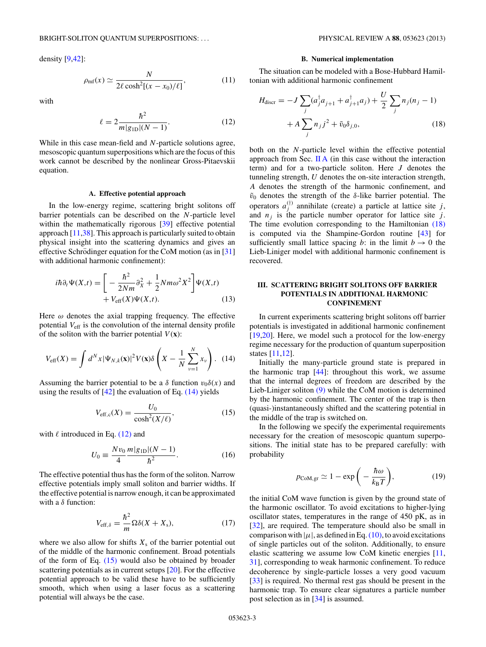<span id="page-2-0"></span>density [\[9](#page-7-0)[,42\]](#page-8-0):

$$
\rho_{\rm mf}(x) \simeq \frac{N}{2\ell \cosh^2[(x - x_0)/\ell]},\tag{11}
$$

with

$$
\ell = 2 \frac{\hbar^2}{m|g_{\text{1D}}|(N-1)}.
$$
 (12)

While in this case mean-field and *N*-particle solutions agree, mesoscopic quantum superpositions which are the focus of this work cannot be described by the nonlinear Gross-Pitaevskii equation.

#### **A. Effective potential approach**

In the low-energy regime, scattering bright solitons off barrier potentials can be described on the *N*-particle level within the mathematically rigorous [\[39\]](#page-8-0) effective potential approach [\[11,](#page-7-0)[38\]](#page-8-0). This approach is particularly suited to obtain physical insight into the scattering dynamics and gives an effective Schrödinger equation for the CoM motion (as in  $[31]$  $[31]$ ) with additional harmonic confinement):

$$
i\hbar \partial_t \Psi(X,t) = \left[ -\frac{\hbar^2}{2Nm} \partial_X^2 + \frac{1}{2} Nm\omega^2 X^2 \right] \Psi(X,t)
$$
  
+  $V_{\text{eff}}(X)\Psi(X,t)$ . (13)

Here  $\omega$  denotes the axial trapping frequency. The effective potential *V*eff is the convolution of the internal density profile of the soliton with the barrier potential  $V(\mathbf{x})$ :

$$
V_{\text{eff}}(X) = \int d^N x |\Psi_{N,k}(\mathbf{x})|^2 V(\mathbf{x}) \delta\left(X - \frac{1}{N} \sum_{\nu=1}^N x_{\nu}\right). \tag{14}
$$

Assuming the barrier potential to be a  $\delta$  function  $v_0\delta(x)$  and using the results of  $[42]$  the evaluation of Eq.  $(14)$  yields

$$
V_{\text{eff,c}}(X) = \frac{U_0}{\cosh^2(X/\ell)},\tag{15}
$$

with  $\ell$  introduced in Eq. (12) and

$$
U_0 = \frac{Nv_0}{4} \frac{m|g_{\text{1D}}|(N-1)}{\hbar^2}.
$$
 (16)

The effective potential thus has the form of the soliton. Narrow effective potentials imply small soliton and barrier widths. If the effective potential is narrow enough, it can be approximated with a *δ* function:

$$
V_{\text{eff},\delta} = \frac{\hbar^2}{m} \Omega \delta(X + X_{\text{s}}),\tag{17}
$$

where we also allow for shifts  $X_s$  of the barrier potential out of the middle of the harmonic confinement. Broad potentials of the form of Eq.  $(15)$  would also be obtained by broader scattering potentials as in current setups [\[20\]](#page-8-0). For the effective potential approach to be valid these have to be sufficiently smooth, which when using a laser focus as a scattering potential will always be the case.

#### **B. Numerical implementation**

The situation can be modeled with a Bose-Hubbard Hamiltonian with additional harmonic confinement

$$
H_{\text{discr}} = -J \sum_{j} (a_j^{\dagger} a_{j+1} + a_{j+1}^{\dagger} a_j) + \frac{U}{2} \sum_{j} n_j (n_j - 1) + A \sum_{j} n_j j^2 + \tilde{v}_0 \delta_{j,0},
$$
 (18)

both on the *N*-particle level within the effective potential approach from Sec.  $\mathbf{II} \mathbf{A}$  (in this case without the interaction term) and for a two-particle soliton. Here *J* denotes the tunneling strength, *U* denotes the on-site interaction strength, *A* denotes the strength of the harmonic confinement, and  $\tilde{v}_0$  denotes the strength of the *δ*-like barrier potential. The operators  $a_j^{(\dagger)}$  annihilate (create) a particle at lattice site *j*, and  $n_j$  is the particle number operator for lattice site  $j$ . The time evolution corresponding to the Hamiltonian (18) is computed via the Shampine-Gordon routine [\[43\]](#page-8-0) for sufficiently small lattice spacing *b*: in the limit  $b \rightarrow 0$  the Lieb-Liniger model with additional harmonic confinement is recovered.

## **III. SCATTERING BRIGHT SOLITONS OFF BARRIER POTENTIALS IN ADDITIONAL HARMONIC CONFINEMENT**

In current experiments scattering bright solitons off barrier potentials is investigated in additional harmonic confinement [\[19,20\]](#page-8-0). Here, we model such a protocol for the low-energy regime necessary for the production of quantum superposition states [\[11,12\]](#page-7-0).

Initially the many-particle ground state is prepared in the harmonic trap  $[44]$ : throughout this work, we assume that the internal degrees of freedom are described by the Lieb-Liniger soliton [\(9\)](#page-1-0) while the CoM motion is determined by the harmonic confinement. The center of the trap is then (quasi-)instantaneously shifted and the scattering potential in the middle of the trap is switched on.

In the following we specify the experimental requirements necessary for the creation of mesoscopic quantum superpositions. The initial state has to be prepared carefully: with probability

$$
p_{\text{CoM},\text{gr}} \simeq 1 - \exp\bigg(-\frac{\hbar\omega}{k_{\text{B}}T}\bigg),\tag{19}
$$

the initial CoM wave function is given by the ground state of the harmonic oscillator. To avoid excitations to higher-lying oscillator states, temperatures in the range of 450 pK, as in [\[32\]](#page-8-0), are required. The temperature should also be small in comparison with  $|\mu|$ , as defined in Eq. [\(10\),](#page-1-0) to avoid excitations of single particles out of the soliton. Additionally, to ensure elastic scattering we assume low CoM kinetic energies [\[11,](#page-7-0) [31\]](#page-8-0), corresponding to weak harmonic confinement. To reduce decoherence by single-particle losses a very good vacuum [\[33\]](#page-8-0) is required. No thermal rest gas should be present in the harmonic trap. To ensure clear signatures a particle number post selection as in [\[34\]](#page-8-0) is assumed.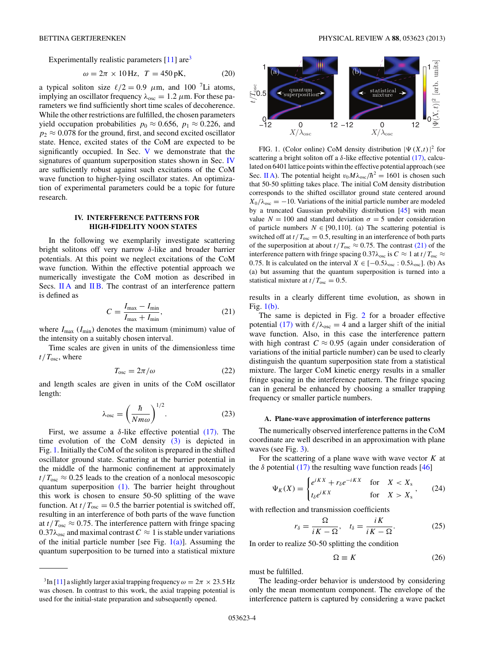<span id="page-3-0"></span>Experimentally realistic parameters  $[11]$  are<sup>3</sup>

$$
\omega = 2\pi \times 10 \,\text{Hz}, \ T = 450 \,\text{pK}, \tag{20}
$$

a typical soliton size  $\ell/2 = 0.9 \mu$ m, and 100<sup>7</sup>Li atoms, implying an oscillator frequency  $\lambda_{osc} = 1.2 \mu m$ . For these parameters we find sufficiently short time scales of decoherence. While the other restrictions are fulfilled, the chosen parameters yield occupation probabilities  $p_0 \approx 0.656$ ,  $p_1 \approx 0.226$ , and  $p_2 \approx 0.078$  for the ground, first, and second excited oscillator state. Hence, excited states of the CoM are expected to be significantly occupied. In Sec. [V](#page-4-0) we demonstrate that the signatures of quantum superposition states shown in Sec. IV are sufficiently robust against such excitations of the CoM wave function to higher-lying oscillator states. An optimization of experimental parameters could be a topic for future research.

### **IV. INTERFERENCE PATTERNS FOR HIGH-FIDELITY NOON STATES**

In the following we exemplarily investigate scattering bright solitons off very narrow *δ*-like and broader barrier potentials. At this point we neglect excitations of the CoM wave function. Within the effective potential approach we numerically investigate the CoM motion as described in Secs. [II A](#page-2-0) and [II B.](#page-2-0) The contrast of an interference pattern is defined as

$$
C = \frac{I_{\text{max}} - I_{\text{min}}}{I_{\text{max}} + I_{\text{min}}},\tag{21}
$$

where  $I_{\text{max}}$  ( $I_{\text{min}}$ ) denotes the maximum (minimum) value of the intensity on a suitably chosen interval.

Time scales are given in units of the dimensionless time *t/T*osc, where

$$
T_{\rm osc} = 2\pi/\omega \tag{22}
$$

and length scales are given in units of the CoM oscillator length:

$$
\lambda_{\rm osc} = \left(\frac{\hbar}{Nm\omega}\right)^{1/2}.\tag{23}
$$

First, we assume a  $\delta$ -like effective potential [\(17\).](#page-2-0) The time evolution of the CoM density [\(3\)](#page-1-0) is depicted in Fig. 1. Initially the CoM of the soliton is prepared in the shifted oscillator ground state. Scattering at the barrier potential in the middle of the harmonic confinement at approximately  $t/T_{\text{osc}} \approx 0.25$  leads to the creation of a nonlocal mesoscopic quantum superposition [\(1\).](#page-0-0) The barrier height throughout this work is chosen to ensure 50-50 splitting of the wave function. At  $t/T_{\text{osc}} = 0.5$  the barrier potential is switched off, resulting in an interference of both parts of the wave function at  $t/T_{\text{osc}} \approx 0.75$ . The interference pattern with fringe spacing  $0.37\lambda_{\text{osc}}$  and maximal contrast  $C \approx 1$  is stable under variations of the initial particle number [see Fig.  $1(a)$ ]. Assuming the quantum superposition to be turned into a statistical mixture



FIG. 1. (Color online) CoM density distribution  $|\Psi(X,t)|^2$  for scattering a bright soliton off a  $\delta$ -like effective potential  $(17)$ , calculated on 6401 lattice points within the effective potential approach (see Sec. [II A\)](#page-2-0). The potential height  $v_0 M \lambda_{osc}/\hbar^2 = 1601$  is chosen such that 50-50 splitting takes place. The initial CoM density distribution corresponds to the shifted oscillator ground state centered around  $X_0/\lambda_{osc} = -10$ . Variations of the initial particle number are modeled by a truncated Gaussian probability distribution [\[45\]](#page-8-0) with mean value  $N = 100$  and standard deviation  $\sigma = 5$  under consideration of particle numbers  $N \in [90, 110]$ . (a) The scattering potential is switched off at  $t/T_{\rm osc} = 0.5$ , resulting in an interference of both parts of the superposition at about  $t/T_{\text{osc}} \approx 0.75$ . The contrast (21) of the interference pattern with fringe spacing  $0.37\lambda_{\rm osc}$  is  $C \approx 1$  at  $t/T_{\rm osc} \approx 1$ 0.75. It is calculated on the interval  $X \in [-0.5\lambda_{\text{osc}} : 0.5\lambda_{\text{osc}}]$ . (b) As (a) but assuming that the quantum superposition is turned into a statistical mixture at  $t/T_{\text{osc}} = 0.5$ .

results in a clearly different time evolution, as shown in Fig. 1(b).

The same is depicted in Fig. [2](#page-4-0) for a broader effective potential [\(17\)](#page-2-0) with  $\ell/\lambda_{\rm osc} = 4$  and a larger shift of the initial wave function. Also, in this case the interference pattern with high contrast  $C \approx 0.95$  (again under consideration of variations of the initial particle number) can be used to clearly distinguish the quantum superposition state from a statistical mixture. The larger CoM kinetic energy results in a smaller fringe spacing in the interference pattern. The fringe spacing can in general be enhanced by choosing a smaller trapping frequency or smaller particle numbers.

### **A. Plane-wave approximation of interference patterns**

The numerically observed interference patterns in the CoM coordinate are well described in an approximation with plane waves (see Fig. [3\)](#page-4-0).

For the scattering of a plane wave with wave vector *K* at the  $\delta$  potential [\(17\)](#page-2-0) the resulting wave function reads [\[46\]](#page-8-0)

$$
\Psi_K(X) = \begin{cases} e^{iKX} + r_\delta e^{-iKX} & \text{for} \quad X < X_\delta \\ t_\delta e^{iKX} & \text{for} \quad X > X_\delta \end{cases} \tag{24}
$$

with reflection and transmission coefficients

$$
r_{\delta} = \frac{\Omega}{iK - \Omega}, \quad t_{\delta} = \frac{iK}{iK - \Omega}.
$$
 (25)

In order to realize 50-50 splitting the condition

$$
\Omega \equiv K \tag{26}
$$

must be fulfilled.

The leading-order behavior is understood by considering only the mean momentum component. The envelope of the interference pattern is captured by considering a wave packet

<sup>&</sup>lt;sup>3</sup>In [\[11\]](#page-7-0) a slightly larger axial trapping frequency  $\omega = 2\pi \times 23.5$  Hz was chosen. In contrast to this work, the axial trapping potential is used for the initial-state preparation and subsequently opened.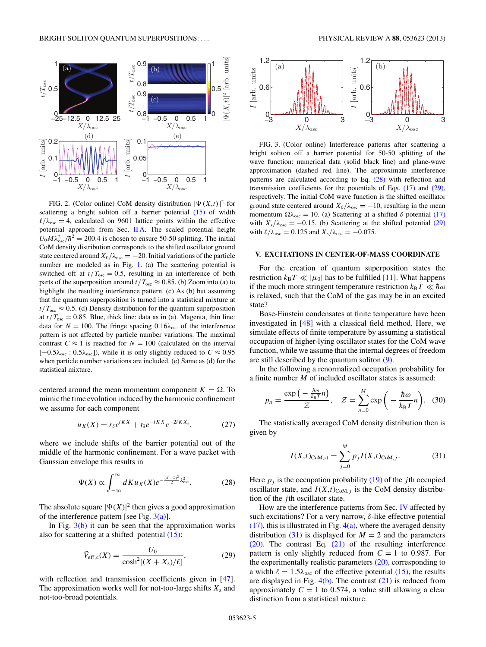<span id="page-4-0"></span>

FIG. 2. (Color online) CoM density distribution  $|\Psi(X,t)|^2$  for scattering a bright soliton off a barrier potential [\(15\)](#page-2-0) of width  $\ell/\lambda_{\rm osc} = 4$ , calculated on 9601 lattice points within the effective potential approach from Sec. [II A.](#page-2-0) The scaled potential height  $U_0 M \lambda_{\text{osc}}^2 / \hbar^2 = 200.4$  is chosen to ensure 50-50 splitting. The initial CoM density distribution corresponds to the shifted oscillator ground state centered around  $X_0/\lambda_{osc} = -20$ . Initial variations of the particle number are modeled as in Fig. [1.](#page-3-0) (a) The scattering potential is switched off at  $t/T_{\text{osc}} = 0.5$ , resulting in an interference of both parts of the superposition around  $t/T_{\text{osc}} \approx 0.85$ . (b) Zoom into (a) to highlight the resulting interference pattern. (c) As (b) but assuming that the quantum superposition is turned into a statistical mixture at  $t/T<sub>osc</sub> \approx 0.5$ . (d) Density distribution for the quantum superposition at  $t/T_{\text{osc}} = 0.85$ . Blue, thick line: data as in (a). Magenta, thin line: data for  $N = 100$ . The fringe spacing  $0.16\lambda_{\text{osc}}$  of the interference pattern is not affected by particle number variations. The maximal contrast  $C \approx 1$  is reached for  $N = 100$  (calculated on the interval  $[-0.5\lambda_{\text{osc}} : 0.5\lambda_{\text{osc}}]$ , while it is only slightly reduced to  $C \approx 0.95$ when particle number variations are included. (e) Same as (d) for the statistical mixture.

centered around the mean momentum component  $K = \Omega$ . To mimic the time evolution induced by the harmonic confinement we assume for each component

$$
u_K(X) = r_\delta e^{iKX} + t_\delta e^{-iKX} e^{-2iKX_s},\tag{27}
$$

where we include shifts of the barrier potential out of the middle of the harmonic confinement. For a wave packet with Gaussian envelope this results in

$$
\Psi(X) \propto \int_{-\infty}^{\infty} dK u_K(X) e^{-\frac{(K-\Omega)^2}{2} \lambda_{\text{osc}}^2}.
$$
 (28)

The absolute square  $|\Psi(X)|^2$  then gives a good approximation of the interference pattern [see Fig.  $3(a)$ ].

In Fig.  $3(b)$  it can be seen that the approximation works also for scattering at a shifted potential [\(15\):](#page-2-0)

$$
\tilde{V}_{\rm eff,c}(X) = \frac{U_0}{\cosh^2[(X + X_s)/\ell]},
$$
\n(29)

with reflection and transmission coefficients given in [\[47\]](#page-8-0). The approximation works well for not-too-large shifts  $X_s$  and not-too-broad potentials.



FIG. 3. (Color online) Interference patterns after scattering a bright soliton off a barrier potential for 50-50 splitting of the wave function: numerical data (solid black line) and plane-wave approximation (dashed red line). The approximate interference patterns are calculated according to Eq. (28) with reflection and transmission coefficients for the potentials of Eqs. [\(17\)](#page-2-0) and (29), respectively. The initial CoM wave function is the shifted oscillator ground state centered around  $X_0/\lambda_{osc} = -10$ , resulting in the mean momentum  $\Omega \lambda_{osc} = 10$ . (a) Scattering at a shifted  $\delta$  potential [\(17\)](#page-2-0) with  $X_s/\lambda_{osc} = -0.15$ . (b) Scattering at the shifted potential (29) with  $\ell/\lambda_{\rm osc} = 0.125$  and  $X_{\rm s}/\lambda_{\rm osc} = -0.075$ .

#### **V. EXCITATIONS IN CENTER-OF-MASS COORDINATE**

For the creation of quantum superposition states the restriction  $k_B T \ll |\mu_0|$  has to be fulfilled [\[11\]](#page-7-0). What happens if the much more stringent temperature restriction  $k_B T \ll \hbar \omega$ is relaxed, such that the CoM of the gas may be in an excited state?

Bose-Einstein condensates at finite temperature have been investigated in [\[48\]](#page-8-0) with a classical field method. Here, we simulate effects of finite temperature by assuming a statistical occupation of higher-lying oscillator states for the CoM wave function, while we assume that the internal degrees of freedom are still described by the quantum soliton [\(9\).](#page-1-0)

In the following a renormalized occupation probability for a finite number *M* of included oscillator states is assumed:

$$
p_n = \frac{\exp\left(-\frac{\hbar\omega}{k_B T}n\right)}{\mathcal{Z}}, \quad \mathcal{Z} = \sum_{n=0}^M \exp\left(-\frac{\hbar\omega}{k_B T}n\right). \quad (30)
$$

The statistically averaged CoM density distribution then is given by

$$
I(X,t)_{\text{CoM,st}} = \sum_{j=0}^{M} p_j I(X,t)_{\text{CoM},j}.
$$
 (31)

Here  $p_i$  is the occupation probability  $(19)$  of the *j*th occupied oscillator state, and  $I(X,t)_{\text{CoM},j}$  is the CoM density distribution of the *j* th oscillator state.

How are the interference patterns from Sec. [IV](#page-3-0) affected by such excitations? For a very narrow, *δ*-like effective potential  $(17)$ , this is illustrated in Fig.  $4(a)$ , where the averaged density distribution (31) is displayed for  $M = 2$  and the parameters [\(20\).](#page-3-0) The contrast Eq. [\(21\)](#page-3-0) of the resulting interference pattern is only slightly reduced from  $C = 1$  to 0.987. For the experimentally realistic parameters  $(20)$ , corresponding to a width  $\ell = 1.5\lambda_{\text{osc}}$  of the effective potential [\(15\),](#page-2-0) the results are displayed in Fig.  $4(b)$ . The contrast  $(21)$  is reduced from approximately  $C = 1$  to 0.574, a value still allowing a clear distinction from a statistical mixture.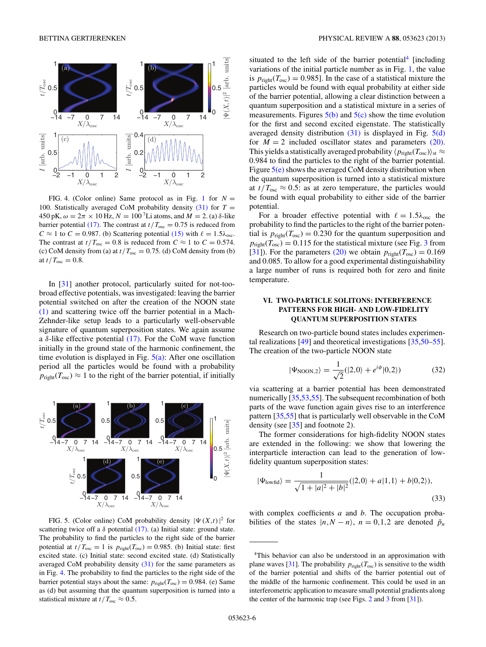<span id="page-5-0"></span>

FIG. 4. (Color online) Same protocol as in Fig. [1](#page-3-0) for  $N =$ 100. Statistically averaged CoM probability density  $(31)$  for  $T =$ 450 pK, *ω* = 2*π* × 10 Hz, *N* = 100 7Li atoms, and *M* = 2. (a) *δ*-like barrier potential [\(17\).](#page-2-0) The contrast at  $t/T_{\text{osc}} = 0.75$  is reduced from  $C \approx 1$  to  $C = 0.987$ . (b) Scattering potential [\(15\)](#page-2-0) with  $\ell = 1.5\lambda_{\text{osc}}$ . The contrast at  $t/T_{\text{osc}} = 0.8$  is reduced from  $C \approx 1$  to  $C = 0.574$ . (c) CoM density from (a) at  $t/T_{osc} = 0.75$ . (d) CoM density from (b) at  $t/T_{\rm osc} = 0.8$ .

In [\[31\]](#page-8-0) another protocol, particularly suited for not-toobroad effective potentials, was investigated: leaving the barrier potential switched on after the creation of the NOON state [\(1\)](#page-0-0) and scattering twice off the barrier potential in a Mach-Zehnder-like setup leads to a particularly well-observable signature of quantum superposition states. We again assume a *δ*-like effective potential [\(17\).](#page-2-0) For the CoM wave function initially in the ground state of the harmonic confinement, the time evolution is displayed in Fig.  $5(a)$ : After one oscillation period all the particles would be found with a probability  $p_{\text{right}}(T_{\text{osc}}) \approx 1$  to the right of the barrier potential, if initially



FIG. 5. (Color online) CoM probability density  $|\Psi(X,t)|^2$  for scattering twice off a *δ* potential [\(17\).](#page-2-0) (a) Initial state: ground state. The probability to find the particles to the right side of the barrier potential at  $t/T_{\text{osc}} = 1$  is  $p_{\text{right}}(T_{\text{osc}}) = 0.985$ . (b) Initial state: first excited state. (c) Initial state: second excited state. (d) Statistically averaged CoM probability density [\(31\)](#page-4-0) for the same parameters as in Fig. 4. The probability to find the particles to the right side of the barrier potential stays about the same:  $p_{\text{right}}(T_{\text{osc}}) = 0.984$ . (e) Same as (d) but assuming that the quantum superposition is turned into a statistical mixture at  $t/T_{\text{osc}} \approx 0.5$ .

situated to the left side of the barrier potential<sup>4</sup> [including variations of the initial particle number as in Fig. [1,](#page-3-0) the value is  $p_{\text{right}}(T_{\text{osc}}) = 0.985$ ]. In the case of a statistical mixture the particles would be found with equal probability at either side of the barrier potential, allowing a clear distinction between a quantum superposition and a statistical mixture in a series of measurements. Figures  $5(b)$  and  $5(c)$  show the time evolution for the first and second excited eigenstate. The statistically averaged density distribution  $(31)$  is displayed in Fig.  $5(d)$ for  $M = 2$  included oscillator states and parameters [\(20\).](#page-3-0) This yields a statistically averaged probability  $\langle p_{\text{right}}(T_{\text{osc}}) \rangle_{\text{st}} \approx$ 0*.*984 to find the particles to the right of the barrier potential. Figure  $5(e)$  shows the averaged CoM density distribution when the quantum superposition is turned into a statistical mixture at  $t/T_{\text{osc}} \approx 0.5$ : as at zero temperature, the particles would be found with equal probability to either side of the barrier potential.

For a broader effective potential with  $\ell = 1.5\lambda_{\text{osc}}$  the probability to find the particles to the right of the barrier potential is  $p_{\text{right}}(T_{\text{osc}}) = 0.230$  for the quantum superposition and  $p_{\text{right}}(T_{\text{osc}}) = 0.115$  for the statistical mixture (see Fig. [3](#page-4-0) from [\[31\]](#page-8-0)). For the parameters [\(20\)](#page-3-0) we obtain  $p_{\text{right}}(T_{\text{osc}}) = 0.169$ and 0.085. To allow for a good experimental distinguishability a large number of runs is required both for zero and finite temperature.

## **VI. TWO-PARTICLE SOLITONS: INTERFERENCE PATTERNS FOR HIGH- AND LOW-FIDELITY QUANTUM SUPERPOSITION STATES**

Research on two-particle bound states includes experimental realizations [\[49\]](#page-8-0) and theoretical investigations [\[35,50–55\]](#page-8-0). The creation of the two-particle NOON state

$$
|\Psi_{\text{NOON},2}\rangle = \frac{1}{\sqrt{2}}(|2,0\rangle + e^{i\phi}|0,2\rangle) \tag{32}
$$

via scattering at a barrier potential has been demonstrated numerically [\[35,53,55\]](#page-8-0). The subsequent recombination of both parts of the wave function again gives rise to an interference pattern [\[35,55\]](#page-8-0) that is particularly well observable in the CoM density (see [\[35\]](#page-8-0) and footnote 2).

The former considerations for high-fidelity NOON states are extended in the following: we show that lowering the interparticle interaction can lead to the generation of lowfidelity quantum superposition states:

$$
|\Psi_{\text{lowfid}}\rangle = \frac{1}{\sqrt{1+|a|^2+|b|^2}} (|2,0\rangle + a|1,1\rangle + b|0,2\rangle),\tag{33}
$$

with complex coefficients *a* and *b*. The occupation probabilities of the states  $|n, N - n\rangle$ ,  $n = 0, 1, 2$  are denoted  $\tilde{p}_n$ 

<sup>4</sup>This behavior can also be understood in an approximation with plane waves [\[31\]](#page-8-0). The probability  $p_{\text{right}}(T_{\text{osc}})$  is sensitive to the width of the barrier potential and shifts of the barrier potential out of the middle of the harmonic confinement. This could be used in an interferometric application to measure small potential gradients along the center of the harmonic trap (see Figs. [2](#page-4-0) and [3](#page-4-0) from [\[31\]](#page-8-0)).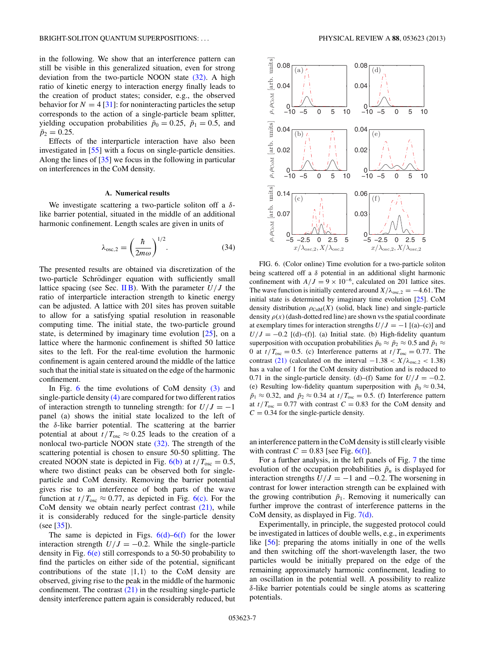<span id="page-6-0"></span>in the following. We show that an interference pattern can still be visible in this generalized situation, even for strong deviation from the two-particle NOON state [\(32\).](#page-5-0) A high ratio of kinetic energy to interaction energy finally leads to the creation of product states; consider, e.g., the observed behavior for  $N = 4$  [\[31\]](#page-8-0): for noninteracting particles the setup corresponds to the action of a single-particle beam splitter, yielding occupation probabilities  $\tilde{p}_0 = 0.25$ ,  $\tilde{p}_1 = 0.5$ , and  $\tilde{p}_2 = 0.25$ .

Effects of the interparticle interaction have also been investigated in [\[55\]](#page-8-0) with a focus on single-particle densities. Along the lines of [\[35\]](#page-8-0) we focus in the following in particular on interferences in the CoM density.

### **A. Numerical results**

We investigate scattering a two-particle soliton off a *δ*like barrier potential, situated in the middle of an additional harmonic confinement. Length scales are given in units of

$$
\lambda_{\text{osc},2} = \left(\frac{\hbar}{2m\omega}\right)^{1/2}.\tag{34}
$$

The presented results are obtained via discretization of the two-particle Schrödinger equation with sufficiently small lattice spacing (see Sec. [II B\)](#page-2-0). With the parameter  $U/J$  the ratio of interparticle interaction strength to kinetic energy can be adjusted. A lattice with 201 sites has proven suitable to allow for a satisfying spatial resolution in reasonable computing time. The initial state, the two-particle ground state, is determined by imaginary time evolution [\[25\]](#page-8-0), on a lattice where the harmonic confinement is shifted 50 lattice sites to the left. For the real-time evolution the harmonic confinement is again centered around the middle of the lattice such that the initial state is situated on the edge of the harmonic confinement.

In Fig. 6 the time evolutions of CoM density [\(3\)](#page-1-0) and single-particle density [\(4\)](#page-1-0) are compared for two different ratios of interaction strength to tunneling strength: for  $U/J = -1$ panel (a) shows the initial state localized to the left of the *δ*-like barrier potential. The scattering at the barrier potential at about  $t/T_{\text{osc}} \approx 0.25$  leads to the creation of a nonlocal two-particle NOON state  $(32)$ . The strength of the scattering potential is chosen to ensure 50-50 splitting. The created NOON state is depicted in Fig.  $6(b)$  at  $t/T_{osc} = 0.5$ , where two distinct peaks can be observed both for singleparticle and CoM density. Removing the barrier potential gives rise to an interference of both parts of the wave function at  $t/T_{\text{osc}} \approx 0.77$ , as depicted in Fig. 6(c). For the CoM density we obtain nearly perfect contrast  $(21)$ , while it is considerably reduced for the single-particle density (see [\[35\]](#page-8-0)).

The same is depicted in Figs.  $6(d)$ – $6(f)$  for the lower interaction strength  $U/J = -0.2$ . While the single-particle density in Fig.  $6(e)$  still corresponds to a 50-50 probability to find the particles on either side of the potential, significant contributions of the state  $|1,1\rangle$  to the CoM density are observed, giving rise to the peak in the middle of the harmonic confinement. The contrast  $(21)$  in the resulting single-particle density interference pattern again is considerably reduced, but



FIG. 6. (Color online) Time evolution for a two-particle soliton being scattered off a *δ* potential in an additional slight harmonic confinement with  $A/J = 9 \times 10^{-6}$ , calculated on 201 lattice sites. The wave function is initially centered around  $X/\lambda_{\text{osc},2} = -4.61$ . The initial state is determined by imaginary time evolution [\[25\]](#page-8-0). CoM density distribution  $\rho_{\text{CoM}}(X)$  (solid, black line) and single-particle density  $\rho(x)$  (dash-dotted red line) are shown vs the spatial coordinate at exemplary times for interaction strengths  $U/J = -1$  [(a)–(c)] and  $U/J = -0.2$  [(d)–(f)]. (a) Initial state. (b) High-fidelity quantum superposition with occupation probabilities  $\tilde{p}_0 \approx \tilde{p}_2 \approx 0.5$  and  $\tilde{p}_1 \approx$ 0 at  $t/T_{\text{osc}} = 0.5$ . (c) Interference patterns at  $t/T_{\text{osc}} = 0.77$ . The contrast [\(21\)](#page-3-0) (calculated on the interval  $-1.38 < X/\lambda_{\text{osc},2} < 1.38$ ) has a value of 1 for the CoM density distribution and is reduced to 0.71 in the single-particle density. (d)–(f) Same for  $U/J = -0.2$ . (e) Resulting low-fidelity quantum superposition with  $\tilde{p}_0 \approx 0.34$ ,  $\tilde{p}_1 \approx 0.32$ , and  $\tilde{p}_2 \approx 0.34$  at  $t/T_{osc} = 0.5$ . (f) Interference pattern at  $t/T_{osc} = 0.77$  with contrast  $C = 0.83$  for the CoM density and  $C = 0.34$  for the single-particle density.

an interference pattern in the CoM density is still clearly visible with contrast  $C = 0.83$  [see Fig. 6(f)].

For a further analysis, in the left panels of Fig. [7](#page-7-0) the time evolution of the occupation probabilities  $\tilde{p}_n$  is displayed for interaction strengths  $U/J = -1$  and  $-0.2$ . The worsening in contrast for lower interaction strength can be explained with the growing contribution  $\tilde{p}_1$ . Removing it numerically can further improve the contrast of interference patterns in the CoM density, as displayed in Fig. [7\(d\).](#page-7-0)

Experimentally, in principle, the suggested protocol could be investigated in lattices of double wells, e.g., in experiments like [\[56\]](#page-8-0): preparing the atoms initially in one of the wells and then switching off the short-wavelength laser, the two particles would be initially prepared on the edge of the remaining approximately harmonic confinement, leading to an oscillation in the potential well. A possibility to realize *δ*-like barrier potentials could be single atoms as scattering potentials.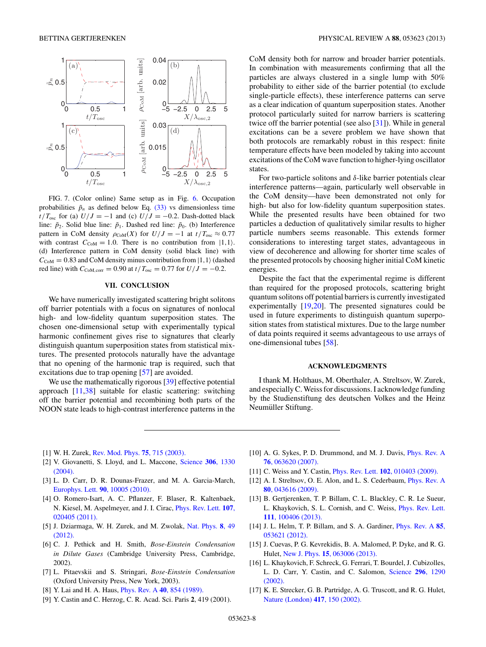<span id="page-7-0"></span>

FIG. 7. (Color online) Same setup as in Fig. [6.](#page-6-0) Occupation probabilities  $\tilde{p}_n$  as defined below Eq. [\(33\)](#page-5-0) vs dimensionless time *t*/T<sub>osc</sub> for (a)  $U/J = -1$  and (c)  $U/J = -0.2$ . Dash-dotted black line:  $\tilde{p}_2$ . Solid blue line:  $\tilde{p}_1$ . Dashed red line:  $\tilde{p}_0$ . (b) Interference pattern in CoM density  $\rho_{\text{CoM}}(X)$  for  $U/J = -1$  at  $t/T_{\text{osc}} \approx 0.77$ with contrast  $C_{\text{COM}} = 1.0$ . There is no contribution from  $|1,1\rangle$ . (d) Interference pattern in CoM density (solid black line) with  $C_{\text{COM}} = 0.83$  and CoM density minus contribution from  $|1,1\rangle$  (dashed red line) with  $C_{\text{COM,corr}} = 0.90$  at  $t/T_{\text{osc}} = 0.77$  for  $U/J = -0.2$ .

# **VII. CONCLUSION**

We have numerically investigated scattering bright solitons off barrier potentials with a focus on signatures of nonlocal high- and low-fidelity quantum superposition states. The chosen one-dimensional setup with experimentally typical harmonic confinement gives rise to signatures that clearly distinguish quantum superposition states from statistical mixtures. The presented protocols naturally have the advantage that no opening of the harmonic trap is required, such that excitations due to trap opening [\[57\]](#page-8-0) are avoided.

We use the mathematically rigorous [\[39\]](#page-8-0) effective potential approach [11[,38\]](#page-8-0) suitable for elastic scattering: switching off the barrier potential and recombining both parts of the NOON state leads to high-contrast interference patterns in the CoM density both for narrow and broader barrier potentials. In combination with measurements confirming that all the particles are always clustered in a single lump with 50% probability to either side of the barrier potential (to exclude single-particle effects), these interference patterns can serve as a clear indication of quantum superposition states. Another protocol particularly suited for narrow barriers is scattering twice off the barrier potential (see also [\[31\]](#page-8-0)). While in general excitations can be a severe problem we have shown that both protocols are remarkably robust in this respect: finite temperature effects have been modeled by taking into account excitations of the CoM wave function to higher-lying oscillator states.

For two-particle solitons and *δ*-like barrier potentials clear interference patterns—again, particularly well observable in the CoM density—have been demonstrated not only for high- but also for low-fidelity quantum superposition states. While the presented results have been obtained for two particles a deduction of qualitatively similar results to higher particle numbers seems reasonable. This extends former considerations to interesting target states, advantageous in view of decoherence and allowing for shorter time scales of the presented protocols by choosing higher initial CoM kinetic energies.

Despite the fact that the experimental regime is different than required for the proposed protocols, scattering bright quantum solitons off potential barriers is currently investigated experimentally [\[19,20\]](#page-8-0). The presented signatures could be used in future experiments to distinguish quantum superposition states from statistical mixtures. Due to the large number of data points required it seems advantageous to use arrays of one-dimensional tubes [\[58\]](#page-8-0).

### **ACKNOWLEDGMENTS**

I thank M. Holthaus, M. Oberthaler, A. Streltsov, W. Zurek, and especially C.Weiss for discussions. I acknowledge funding by the Studienstiftung des deutschen Volkes and the Heinz Neumüller Stiftung.

- [1] W. H. Zurek, [Rev. Mod. Phys.](http://dx.doi.org/10.1103/RevModPhys.75.715) **75**, 715 (2003).
- [2] V. Giovanetti, S. Lloyd, and L. Maccone, [Science](http://dx.doi.org/10.1126/science.1104149) **306**, 1330 [\(2004\).](http://dx.doi.org/10.1126/science.1104149)
- [3] L. D. Carr, D. R. Dounas-Frazer, and M. A. Garcia-March, [Europhys. Lett.](http://dx.doi.org/10.1209/0295-5075/90/10005) **90**, 10005 (2010).
- [4] O. Romero-Isart, A. C. Pflanzer, F. Blaser, R. Kaltenbaek, N. Kiesel, M. Aspelmeyer, and J. I. Cirac, [Phys. Rev. Lett.](http://dx.doi.org/10.1103/PhysRevLett.107.020405) **107**, [020405 \(2011\).](http://dx.doi.org/10.1103/PhysRevLett.107.020405)
- [5] J. Dziarmaga, W. H. Zurek, and M. Zwolak, [Nat. Phys.](http://dx.doi.org/10.1038/nphys2156) **8**, 49 [\(2012\).](http://dx.doi.org/10.1038/nphys2156)
- [6] C. J. Pethick and H. Smith, *Bose-Einstein Condensation in Dilute Gases* (Cambridge University Press, Cambridge, 2002).
- [7] L. Pitaevskii and S. Stringari, *Bose-Einstein Condensation* (Oxford University Press, New York, 2003).
- [8] Y. Lai and H. A. Haus, [Phys. Rev. A](http://dx.doi.org/10.1103/PhysRevA.40.854) **40**, 854 (1989).
- [9] Y. Castin and C. Herzog, C. R. Acad. Sci. Paris **2**, 419 (2001).
- [10] A. G. Sykes, P. D. Drummond, and M. J. Davis, *[Phys. Rev. A](http://dx.doi.org/10.1103/PhysRevA.76.063620)* **76**[, 063620 \(2007\).](http://dx.doi.org/10.1103/PhysRevA.76.063620)
- [11] C. Weiss and Y. Castin, Phys. Rev. Lett. **102**[, 010403 \(2009\).](http://dx.doi.org/10.1103/PhysRevLett.102.010403)
- [12] A. I. Streltsov, O. E. Alon, and L. S. Cederbaum, *[Phys. Rev. A](http://dx.doi.org/10.1103/PhysRevA.80.043616)* **80**[, 043616 \(2009\).](http://dx.doi.org/10.1103/PhysRevA.80.043616)
- [13] B. Gertjerenken, T. P. Billam, C. L. Blackley, C. R. Le Sueur, L. Khaykovich, S. L. Cornish, and C. Weiss, [Phys. Rev. Lett.](http://dx.doi.org/10.1103/PhysRevLett.111.100406) **111**[, 100406 \(2013\).](http://dx.doi.org/10.1103/PhysRevLett.111.100406)
- [14] J. L. Helm, T. P. Billam, and S. A. Gardiner, [Phys. Rev. A](http://dx.doi.org/10.1103/PhysRevA.85.053621) **85**, [053621 \(2012\).](http://dx.doi.org/10.1103/PhysRevA.85.053621)
- [15] J. Cuevas, P. G. Kevrekidis, B. A. Malomed, P. Dyke, and R. G. Hulet, New J. Phys. **15**[, 063006 \(2013\).](http://dx.doi.org/10.1088/1367-2630/15/6/063006)
- [16] L. Khaykovich, F. Schreck, G. Ferrari, T. Bourdel, J. Cubizolles, L. D. Carr, Y. Castin, and C. Salomon, [Science](http://dx.doi.org/10.1126/science.1071021) **296**, 1290 [\(2002\).](http://dx.doi.org/10.1126/science.1071021)
- [17] K. E. Strecker, G. B. Partridge, A. G. Truscott, and R. G. Hulet, [Nature \(London\)](http://dx.doi.org/10.1038/nature747) **417**, 150 (2002).